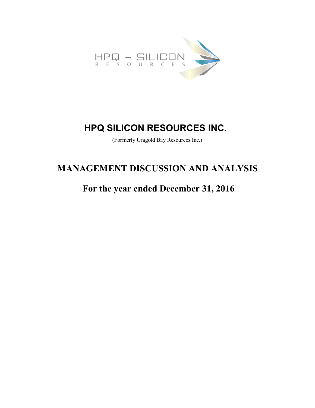

# **HPQ SILICON RESOURCES INC.**

(Formerly Uragold Bay Resources Inc.)

# **MANAGEMENT DISCUSSION AND ANALYSIS**

# **For the year ended December 31, 2016**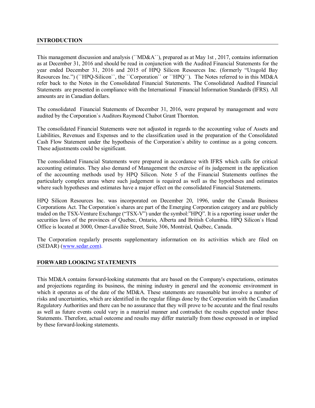#### **INTRODUCTION**

This management discussion and analysis (``MD&A``), prepared as at May 1st , 2017, contains information as at December 31, 2016 and should be read in conjunction with the Audited Financial Statements for the year ended December 31, 2016 and 2015 of HPQ Silicon Resources Inc. (formerly "Uragold Bay Resources Inc.") (``HPQ-Silicon``, the ``Corporation`` or ``HPQ``). The Notes referred to in this MD&A refer back to the Notes in the Consolidated Financial Statements. The Consolidated Audited Financial Statements are presented in compliance with the International Financial Information Standards (IFRS). All amounts are in Canadian dollars.

The consolidated Financial Statements of December 31, 2016, were prepared by management and were audited by the Corporation`s Auditors Raymond Chabot Grant Thornton.

The consolidated Financial Statements were not adjusted in regards to the accounting value of Assets and Liabilities, Revenues and Expenses and to the classification used in the preparation of the Consolidated Cash Flow Statement under the hypothesis of the Corporation`s ability to continue as a going concern. These adjustments could be significant.

The consolidated Financial Statements were prepared in accordance with IFRS which calls for critical accounting estimates. They also demand of Management the exercise of its judgement in the application of the accounting methods used by HPQ Silicon. Note 5 of the Financial Statements outlines the particularly complex areas where such judgement is required as well as the hypotheses and estimates where such hypotheses and estimates have a major effect on the consolidated Financial Statements.

HPQ Silicon Resources Inc. was incorporated on December 20, 1996, under the Canada Business Corporations Act. The Corporation`s shares are part of the Emerging Corporation category and are publicly traded on the TSX-Venture Exchange ("TSX-V") under the symbol:"HPQ". It is a reporting issuer under the securities laws of the provinces of Ouebec, Ontario, Alberta and British Columbia. HPO Silicon's Head Office is located at 3000, Omer-Lavallée Street, Suite 306, Montréal, Québec, Canada.

The Corporation regularly presents supplementary information on its activities which are filed on (SEDAR) (www.sedar.com).

#### **FORWARD LOOKING STATEMENTS**

This MD&A contains forward-looking statements that are based on the Company's expectations, estimates and projections regarding its business, the mining industry in general and the economic environment in which it operates as of the date of the MD&A. These statements are reasonable but involve a number of risks and uncertainties, which are identified in the regular filings done by the Corporation with the Canadian Regulatory Authorities and there can be no assurance that they will prove to be accurate and the final results as well as future events could vary in a material manner and contradict the results expected under these Statements. Therefore, actual outcome and results may differ materially from those expressed in or implied by these forward-looking statements.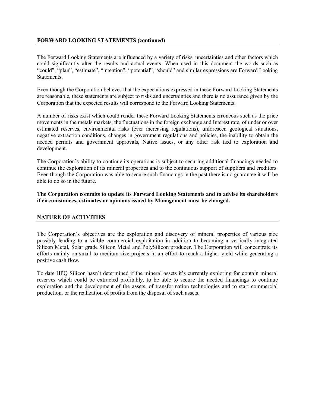#### **FORWARD LOOKING STATEMENTS (continued)**

The Forward Looking Statements are influenced by a variety of risks, uncertainties and other factors which could significantly alter the results and actual events. When used in this document the words such as "could", "plan", "estimate", "intention", "potential", "should" and similar expressions are Forward Looking Statements.

Even though the Corporation believes that the expectations expressed in these Forward Looking Statements are reasonable, these statements are subject to risks and uncertainties and there is no assurance given by the Corporation that the expected results will correspond to the Forward Looking Statements.

A number of risks exist which could render these Forward Looking Statements erroneous such as the price movements in the metals markets, the fluctuations in the foreign exchange and Interest rate, of under or over estimated reserves, environmental risks (ever increasing regulations), unforeseen geological situations, negative extraction conditions, changes in government regulations and policies, the inability to obtain the needed permits and government approvals, Native issues, or any other risk tied to exploration and development.

The Corporation`s ability to continue its operations is subject to securing additional financings needed to continue the exploration of its mineral properties and to the continuous support of suppliers and creditors. Even though the Corporation was able to secure such financings in the past there is no guarantee it will be able to do so in the future.

**The Corporation commits to update its Forward Looking Statements and to advise its shareholders if circumstances, estimates or opinions issued by Management must be changed.**

#### **NATURE OF ACTIVITIES**

The Corporation`s objectives are the exploration and discovery of mineral properties of various size possibly leading to a viable commercial exploitation in addition to becoming a vertically integrated Silicon Metal, Solar grade Silicon Metal and PolySilicon producer. The Corporation will concentrate its efforts mainly on small to medium size projects in an effort to reach a higher yield while generating a positive cash flow.

To date HPQ Silicon hasn`t determined if the mineral assets it's currently exploring for contain mineral reserves which could be extracted profitably, to be able to secure the needed financings to continue exploration and the development of the assets, of transformation technologies and to start commercial production, or the realization of profits from the disposal of such assets.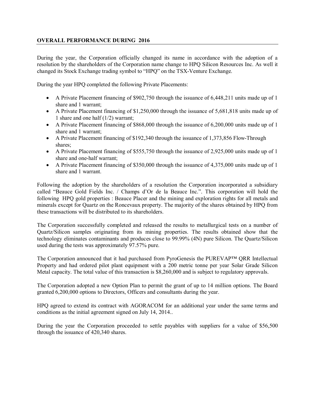### **OVERALL PERFORMANCE DURING 2016**

During the year, the Corporation officially changed its name in accordance with the adoption of a resolution by the shareholders of the Corporation name change to HPQ Silicon Resources Inc. As well it changed its Stock Exchange trading symbol to "HPQ" on the TSX-Venture Exchange.

During the year HPQ completed the following Private Placements:

- A Private Placement financing of \$902,750 through the issuance of 6,448,211 units made up of 1 share and 1 warrant;
- A Private Placement financing of \$1,250,000 through the issuance of 5,681,818 units made up of 1 share and one half (1/2) warrant;
- A Private Placement financing of \$868,000 through the issuance of 6,200,000 units made up of 1 share and 1 warrant;
- A Private Placement financing of \$192,340 through the issuance of 1,373,856 Flow-Through shares;
- A Private Placement financing of \$555,750 through the issuance of 2,925,000 units made up of 1 share and one-half warrant;
- A Private Placement financing of \$350,000 through the issuance of 4,375,000 units made up of 1 share and 1 warrant.

Following the adoption by the shareholders of a resolution the Corporation incorporated a subsidiary called "Beauce Gold Fields Inc. / Champs d'Or de la Beauce Inc.". This corporation will hold the following HPQ gold properties : Beauce Placer and the mining and exploration rights for all metals and minerals except for Quartz on the Roncevaux property. The majority of the shares obtained by HPQ from these transactions will be distributed to its shareholders.

The Corporation successfully completed and released the results to metallurgical tests on a number of Quartz/Silicon samples originating from its mining properties. The results obtained show that the technology eliminates contaminants and produces close to 99.99% (4N) pure Silicon. The Quartz/Silicon used during the tests was approximately 97.57% pure.

The Corporation announced that it had purchased from PyroGenesis the PUREVAP™ QRR Intellectual Property and had ordered pilot plant equipment with a 200 metric tonne per year Solar Grade Silicon Metal capacity. The total value of this transaction is \$8,260,000 and is subject to regulatory approvals.

The Corporation adopted a new Option Plan to permit the grant of up to 14 million options. The Board granted 6,200,000 options to Directors, Officers and consultants during the year.

HPQ agreed to extend its contract with AGORACOM for an additional year under the same terms and conditions as the initial agreement signed on July 14, 2014..

During the year the Corporation proceeded to settle payables with suppliers for a value of \$56,500 through the issuance of 420,340 shares.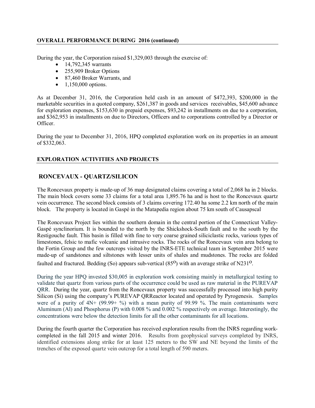#### **OVERALL PERFORMANCE DURING 2016 (continued)**

During the year, the Corporation raised \$1,329,003 through the exercise of:

- $14,792,345$  warrants
- 255,909 Broker Options
- 87,460 Broker Warrants, and
- $\bullet$  1,150,000 options.

As at December 31, 2016, the Corporation held cash in an amount of \$472,393, \$200,000 in the marketable securities in a quoted company, \$261,387 in goods and services receivables, \$45,600 advance for exploration expenses, \$153,630 in prepaid expenses, \$93,242 in installments on due to a corporation, and \$362,953 in installments on due to Directors, Officers and to corporations controlled by a Director or Officer.

During the year to December 31, 2016, HPQ completed exploration work on its properties in an amount of \$332,063.

#### **EXPLORATION ACTIVITIES AND PROJECTS**

## **RONCEVAUX - QUARTZ/SILICON**

The Roncevaux property is made-up of 36 map designated claims covering a total of 2,068 ha in 2 blocks. The main block covers some 33 claims for a total area 1,895.76 ha and is host to the Roncevaux quartz vein occurrence. The second block consists of 3 claims covering 172.40 ha some 2.2 km north of the main block. The property is located in Gaspé in the Matapedia region about 75 km south of Causapscal

The Roncevaux Project lies within the southern domain in the central portion of the Connecticut Valley-Gaspé synclinorium. It is bounded to the north by the Shickshock-South fault and to the south by the Restigouche fault. This basin is filled with fine to very coarse grained siliciclastic rocks, various types of limestones, felsic to mafic volcanic and intrusive rocks. The rocks of the Roncevaux vein area belong to the Fortin Group and the few outcrops visited by the INRS-ETE technical team in September 2015 were made-up of sandstones and siltstones with lesser units of shales and mudstones. The rocks are folded faulted and fractured. Bedding (So) appears sub-vertical  $(85^{\circ})$  with an average strike of N231<sup>o</sup>.

During the year HPQ invested \$30,005 in exploration work consisting mainly in metallurgical testing to validate that quartz from various parts of the occurrence could be used as raw material in the PUREVAP QRR. During the year, quartz from the Roncevaux property was successfully processed into high purity Silicon (Si) using the company's PUREVAP QRReactor located and operated by Pyrogenesis. Samples were of a purity of  $4N+ (99.99+ %)$  with a mean purity of 99.99%. The main contaminants were Aluminum (Al) and Phosphorus (P) with 0.008 % and 0.002 % respectively on average. Interestingly, the concentrations were below the detection limits for all the other contaminants for all locations.

During the fourth quarter the Corporation has received exploration results from the INRS regarding workcompleted in the fall 2015 and winter 2016. Results from geophysical surveys completed by INRS, identified extensions along strike for at least 125 meters to the SW and NE beyond the limits of the trenches of the exposed quartz vein outcrop for a total length of 590 meters.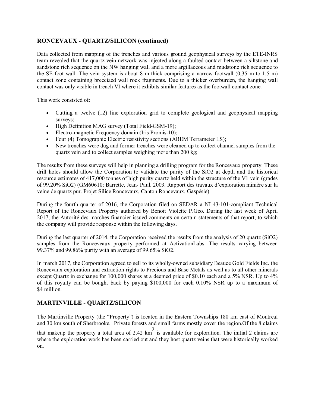# **RONCEVAUX - QUARTZ/SILICON (continued)**

Data collected from mapping of the trenches and various ground geophysical surveys by the ETE-INRS team revealed that the quartz vein network was injected along a faulted contact between a siltstone and sandstone rich sequence on the NW hanging wall and a more argillaceous and mudstone rich sequence to the SE foot wall. The vein system is about 8 m thick comprising a narrow footwall (0,35 m to 1.5 m) contact zone containing brecciaed wall rock fragments. Due to a thicker overburden, the hanging wall contact was only visible in trench VI where it exhibits similar features as the footwall contact zone.

This work consisted of:

- Cutting a twelve (12) line exploration grid to complete geological and geophysical mapping surveys;
- High Definition MAG survey (Total Field-GSM-19);
- Electro-magnetic Frequency domain (Iris Promis-10);
- Four (4) Tomographic Electric resistivity sections (ABEM Terrameter LS);
- New trenches were dug and former trenches were cleaned up to collect channel samples from the quartz vein and to collect samples weighing more than 200 kg;

The results from these surveys will help in planning a drilling program for the Roncevaux property. These drill holes should allow the Corporation to validate the purity of the SiO2 at depth and the historical resource estimates of 417,000 tonnes of high purity quartz held within the structure of the V1 vein (grades of 99.20% SiO2) (GM60610: Barrette, Jean- Paul. 2003. Rapport des travaux d'exploration minière sur la veine de quartz pur. Projet Silice Roncevaux, Canton Roncevaux, Gaspésie)

During the fourth quarter of 2016, the Corporation filed on SEDAR a NI 43-101-compliant Technical Report of the Roncevaux Property authored by Benoit Violette P.Geo. During the last week of April 2017, the Autorité des marches financier issued comments on certain statements of that report, to which the company will provide response within the following days.

During the last quarter of 2014, the Corporation received the results from the analysis of 20 quartz (SiO2) samples from the Ronceveaux property performed at ActivationLabs. The results varying between 99.37% and 99.86% purity with an average of 99.65% SiO2.

In march 2017, the Corporation agreed to sell to its wholly-owned subsidiary Beauce Gold Fields Inc. the Roncevaux exploration and extraction rights to Precious and Base Metals as well as to all other minerals except Quartz in exchange for 100,000 shares at a deemed price of \$0.10 each and a 5% NSR. Up to 4% of this royalty can be bought back by paying \$100,000 for each 0.10% NSR up to a maximum of \$4 million.

# **MARTINVILLE - QUARTZ/SILICON**

The Martinville Property (the "Property") is located in the Eastern Townships 180 km east of Montreal and 30 km south of Sherbrooke. Private forests and small farms mostly cover the region.Of the 8 claims that makeup the property a total area of 2.42 km<sup>2</sup> is available for exploration. The initial 2 claims are where the exploration work has been carried out and they host quartz veins that were historically worked on.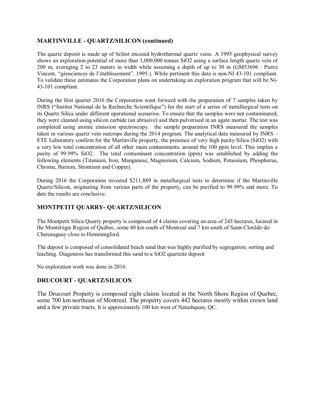# **MARTINVILLE - QUARTZ/SILICON (continued)**

The quartz deposit is made up of Schist encased hydrothermal quartz veins. A 1995 geophysical survey shows an exploration potential of more than 1,000,000 tonnes SiO2 using a surface length quartz vein of 200 m, averaging 2 to 23 meters in width while assuming a depth of up to 30 m (GM53696 : Pierre Vincent, "géosciences de l'établissement". 1995.). While pertinent this data is non-NI 43-101 compliant. To validate these estimates the Corporation plans on undertaking an exploration program that will be Ni-43-101 compliant.

During the first quarter 2016 the Corporation went forward with the preparation of 7 samples taken by INRS ("Institut National de la Recherche Scientifique") for the start of a series of metallurgical tests on its Quartz Silica under different operational scenarios. To ensure that the samples were not contaminated, they were cleaned using silicon carbide (an abrasive) and then pulverised in an agate mortar. The test was completed using atomic emission spectroscopy. the sample preparation INRS measured the samples taken in various quartz vein outcrops during the 2014 program. The analytical data measured by INRS – ETE Laboratory confirm for the Martinville property, the presence of very high purity Silica (SiO2) with a very low total concentration of all other main contaminants, around the 100 ppm level. This implies a purity of 99.99% SiO2. The total contaminant concentration (ppm) was established by adding the following elements (Titanium, Iron, Manganese, Magnesium, Calcium, Sodium, Potassium, Phosphorus, Chrome, Barium, Strontium and Copper).

During 2016 the Corporation invested \$211,889 in metallurgical tests to determine if the Martinville Quartz/Silicon, originating from various parts of the property, can be purified to 99.99% and more. To date the results are conclusive.

# **MONTPETIT QUARRY- QUARTZ/SILICON**

The Montpetit Silica Quarry property is composed of 4 claims covering an area of 243 hectares, located in the Montérégie Region of Québec, some 40 km south of Montreal and 7 km south of Saint-Clotilde-de-Chateauguay close to Hemmingford.

The deposit is composed of consolidated beach sand that was highly purified by segregation, sorting and leaching. Diagenesis has transformed this sand to a SiO2 quartzite deposit

No exploration work was done in 2016.

# **DRUCOURT - QUARTZ/SILICON**

The Drucourt Property is composed eight claims located in the North Shore Region of Quebec, some 700 km northeast of Montreal. The property covers 442 hectares mostly within crown land and a few private tracts. It is approximately 100 km west of Natashquan, QC.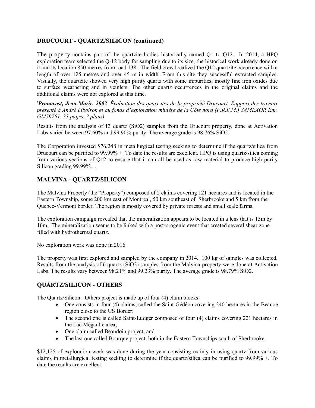# **DRUCOURT - QUARTZ/SILICON (continued)**

The property contains part of the quartzite bodies historically named Q1 to Q12. In 2014, a HPQ exploration team selected the Q-12 body for sampling due to its size, the historical work already done on it and its location 850 metres from road 138. The field crew localized the Q12 quartzite occurrence with a length of over 125 metres and over 45 m in width. From this site they successful extracted samples. Visually, the quartzite showed very high purity quartz with some impurities, mostly fine iron oxides due to surface weathering and in veinlets. The other quartz occurrences in the original claims and the additional claims were not explored at this time.

*(Pronovost, Jean-Marie. 2002. Évaluation des quartzites de la propriété Drucourt. Rapport des travaux présenté à André Liboiron et au fonds d'exploration minière de la Côte nord (F.R.E.M.) SAMEXOR Enr. GM59751. 33 pages. 3 plans)*

Results from the analysis of 13 quartz (SiO2) samples from the Drucourt property, done at Activation Labs varied between 97.60% and 99.90% purity. The average grade is 98.76% SiO2.

The Corporation invested \$76,248 in metallurgical testing seeking to determine if the quartz/silica from Drucourt can be purified to 99.99% +. To date the results are excellent. HPQ is using quartz/silica coming from various sections of Q12 to ensure that it can all be used as raw material to produce high purity Silicon grading 99.99%...

## **MALVINA - QUARTZ/SILICON**

The Malvina Property (the "Property") composed of 2 claims covering 121 hectares and is located in the Eastern Township, some 200 km east of Montreal, 50 km southeast of Sherbrooke and 5 km from the Quebec-Vermont border. The region is mostly covered by private forests and small scale farms.

The exploration campaign revealed that the mineralization appears to be located in a lens that is 15m by 16m. The mineralization seems to be linked with a post-orogenic event that created several shear zone filled with hydrothermal quartz.

No exploration work was done in 2016.

The property was first explored and sampled by the company in 2014. 100 kg of samples was collected. Results from the analysis of 6 quartz (SiO2) samples from the Malvina property were done at Activation Labs. The results vary between 98.21% and 99.23% purity. The average grade is 98.79% SiO2.

# **QUARTZ/SILICON - OTHERS**

The Quartz/Silicon - Others project is made up of four (4) claim blocks:

- One consists in four (4) claims, called the Saint-Gédéon covering 240 hectares in the Beauce region close to the US Border;
- The second one is called Saint-Ludger composed of four (4) claims covering 221 hectares in the Lac Mégantic area;
- One claim called Beaudoin project; and
- The last one called Bourque project, both in the Eastern Townships south of Sherbrooke.

\$12,125 of exploration work was done during the year consisting mainly in using quartz from various claims in metallurgical testing seeking to determine if the quartz/silica can be purified to 99.99% +. To date the results are excellent.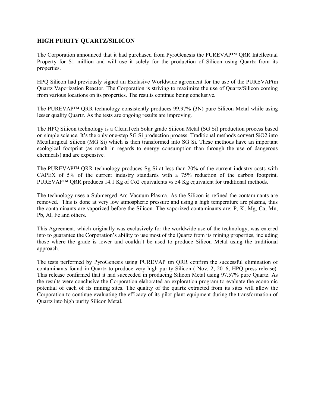## **HIGH PURITY QUARTZ/SILICON**

The Corporation announced that it had purchased from PyroGenesis the PUREVAP™ QRR Intellectual Property for \$1 million and will use it solely for the production of Silicon using Quartz from its properties.

HPQ Silicon had previously signed an Exclusive Worldwide agreement for the use of the PUREVAPtm Quartz Vaporization Reactor. The Corporation is striving to maximize the use of Quartz/Silicon coming from various locations on its properties. The results continue being conclusive.

The PUREVAP™ QRR technology consistently produces 99.97% (3N) pure Silicon Metal while using lesser quality Quartz. As the tests are ongoing results are improving.

The HPQ Silicon technology is a CleanTech Solar grade Silicon Metal (SG Si) production process based on simple science. It's the only one-step SG Si production process. Traditional methods convert SiO2 into Metallurgical Silicon (MG Si) which is then transformed into SG Si. These methods have an important ecological footprint (as much in regards to energy consumption than through the use of dangerous chemicals) and are expensive.

The PUREVAP™ QRR technology produces Sg Si at less than 20% of the current industry costs with CAPEX of 5% of the current industry standards with a 75% reduction of the carbon footprint. PUREVAP™ QRR produces 14.1 Kg of Co2 equivalents vs 54 Kg equivalent for traditional methods.

The technology uses a Submerged Arc Vacuum Plasma. As the Silicon is refined the contaminants are removed. This is done at very low atmospheric pressure and using a high temperature arc plasma, thus the contaminants are vaporized before the Silicon. The vaporized contaminants are: P, K, Mg, Ca, Mn, Pb, Al, Fe and others.

This Agreement, which originally was exclusively for the worldwide use of the technology, was entered into to guarantee the Corporation's ability to use most of the Quartz from its mining properties, including those where the grade is lower and couldn't be used to produce Silicon Metal using the traditional approach.

The tests performed by PyroGenesis using PUREVAP tm QRR confirm the successful elimination of contaminants found in Quartz to produce very high purity Silicon ( Nov. 2, 2016, HPQ press release). This release confirmed that it had succeeded in producing Silicon Metal using 97.57% pure Quartz. As the results were conclusive the Corporation elaborated an exploration program to evaluate the economic potential of each of its mining sites. The quality of the quartz extracted from its sites will allow the Corporation to continue evaluating the efficacy of its pilot plant equipment during the transformation of Quartz into high purity Silicon Metal.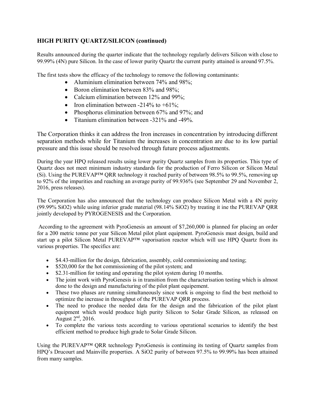# **HIGH PURITY QUARTZ/SILICON (continued)**

Results announced during the quarter indicate that the technology regularly delivers Silicon with close to 99.99% (4N) pure Silicon. In the case of lower purity Quartz the current purity attained is around 97.5%.

The first tests show the efficacy of the technology to remove the following contaminants:

- Aluminium elimination between 74% and 98%;
- Boron elimination between 83% and 98%;
- Calcium elimination between 12% and 99%;
- Iron elimination between  $-214\%$  to  $+61\%$ ;
- Phosphorus elimination between 67% and 97%; and
- Titanium elimination between -321% and -49%.

The Corporation thinks it can address the Iron increases in concentration by introducing different separation methods while for Titanium the increases in concentration are due to its low partial pressure and this issue should be resolved through future process adjustments.

During the year HPQ released results using lower purity Quartz samples from its properties. This type of Quartz does not meet minimum industry standards for the production of Ferro Silicon or Silicon Metal (Si). Using the PUREVAP™ QRR technology it reached purity of between 98.5% to 99.5%, removing up to 92% of the impurities and reaching an average purity of 99.936% (see September 29 and November 2, 2016, press releases).

The Corporation has also announced that the technology can produce Silicon Metal with a 4N purity (99.99% SiO2) while using inferior grade material (98.14% SiO2) by treating it ine the PUREVAP QRR jointly developed by PYROGENESIS and the Corporation.

According to the agreement with PyroGenesis an amount of \$7,260,000 is planned for placing an order for a 200 metric tonne per year Silicon Metal pilot plant equipment. PyroGenesis must design, build and start up a pilot Silicon Metal PUREVAP™ vaporisation reactor which will use HPQ Quartz from its various properties. The specifics are:

- \$4.43-million for the design, fabrication, assembly, cold commissioning and testing;
- $\bullet$  \$520,000 for the hot commissioning of the pilot system; and
- \$2.31-million for testing and operating the pilot system during 10 months.
- The joint work with PyroGenesis is in transition from the characterisation testing which is almost done to the design and manufacturing of the pilot plant equipement.
- These two phases are running simultaneously since work is ongoing to find the best methoid to optimize the increase in throughput of the PUREVAP QRR process.
- The need to produce the needed data for the design and the fabrication of the pilot plant equipment which would produce high purity Silicon to Solar Grade Silicon, as released on August  $2<sup>nd</sup>$ , 2016.
- To complete the various tests according to various operational scenarios to identify the best efficient method to produce high grade to Solar Grade Silicon.

Using the PUREVAP™ QRR technology PyroGenesis is continuing its testing of Quartz samples from HPQ's Drucourt and Mainville properties. A SiO2 purity of between 97.5% to 99.99% has been attained from many samples.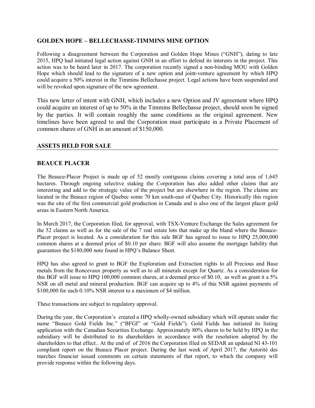# **GOLDEN HOPE – BELLECHASSE-TIMMINS MINE OPTION**

Following a disagreement between the Corporation and Golden Hope Mines ("GNH"), dating to late 2015, HPQ had initiated legal action against GNH in an effort to defend its interests in the project. This action was to be heard later in 2017. The corporation recently signed a non-binding MOU with Golden Hope which should lead to the signature of a new option and joint-venture agreement by which HPQ could acquire a 50% interest in the Timmins Bellechasse project. Legal actions have been suspended and will be revoked upon signature of the new agreement.

This new letter of intent with GNH, which includes a new Option and JV agreement where HPQ could acquire an interest of up to 50% in the Timmins Bellechasse project, should soon be signed by the parties. It will contain roughly the same conditions as the original agreement. New timelines have been agreed to and the Corporation must participate in a Private Placement of common shares of GNH in an amount of \$150,000.

## **ASSETS HELD FOR SALE**

#### **BEAUCE PLACER**

The Beauce-Placer Project is made up of 52 mostly contiguous claims covering a total area of 1,645 hectares. Through ongoing selective staking the Corporation has also added other claims that are interesting and add to the strategic value of the project but are elsewhere in the region. The claims are located in the Beauce region of Quebec some 70 km south-east of Quebec City. Historically this region was the site of the first commercial gold production in Canada and is also one of the largest placer gold areas in Eastern North America.

In March 2017, the Corporation filed, for approval, with TSX-Venture Exchange the Sales agreement for the 52 claims as well as for the sale of the 7 real estate lots that make up the bland where the Beauce-Placer project is located. As a consideration for this sale BGF has agreed to issue to HPQ 25,000,000 common shares at a deemed price of \$0.10 per share. BGF will also assume the mortgage liability that guarantees the \$180,000 note found in HPQ's Balance Sheet.

HPQ has also agreed to grant to BGF the Exploration and Extraction rights to all Precious and Base metals from the Roncevaux property as well as to all minerals except for Quartz. As a consideration for this BGF will issue to HPQ 100,000 common shares, at a deemed price of \$0.10, as well as grant it a 5% NSR on all metal and mineral production. BGF can acquire up to 4% of this NSR against payments of \$100,000 for each 0.10% NSR interest to a maximum of \$4 million.

These transactions are subject to regulatory approval.

During the year, the Corporation's created a HPQ wholly-owned subsidiary which will operate under the name "Beauce Gold Fields Inc." ("BFGI" or "Gold Fields"). Gold Fields has initiated its listing application with the Canadian Securities Exchange. Approximately 80% shares to be held by HPQ in the subsidiary will be distributed to its shareholders in accordance with the resolution adopted by the shareholders to that effect.. At the end of of 2016 the Corporation filed on SEDAR an updated NI 43-101 compliant report on the Beauce Placer project. During the last week of April 2017, the Autorité des marches financier issued comments on certain statements of that report, to which the company will provide response within the following days.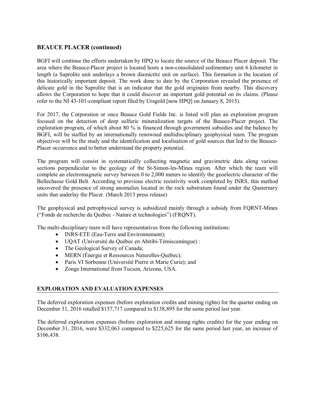## **BEAUCE PLACER (continued)**

BGFI will continue the efforts undertaken by HPQ to locate the source of the Beauce Placer deposit. The area where the Beauce-Placer project is located hosts a non-consolidated sedimentary unit 6 kilometer in length (a Saprolite unit underlays a brown diamictite unit on surface). This formation is the location of this historically important deposit. The work done to date by the Corporation revealed the presence of delicate gold in the Saprolite that is an indicator that the gold originates from nearby. This discovery allows the Corporation to hope that it could discover an important gold potential on its claims. (Please refer to the NI 43-101-compliant report filed by Uragold [now HPQ] on January 8, 2015).

For 2017, the Corporation or once Beauce Gold Fields Inc. is listed will plan an exploration program focused on the detection of deep sulfuric mineralization targets of the Beauce-Placer project. The exploration program, of which about 80 % is financed through government subsidies and the balance by BGFI, will be staffed by an internationally renowned multidisciplinary geophysical team. The program objectives will be the study and the identification and localisation of gold sources that led to the Beauce-Placer occurrence and to better understand the property potential.

The program will consist in systematically collecting magnetic and gravimetric data along various sections perpendicular to the geology of the St-Simon-les-Mines region. After which the team will complete an electromagnetic survey between 0 to 2,000 meters to identify the geoelectric character of the Bellechasse Gold Belt. According to previous electric resistivity work completed by INRS, this method uncovered the presence of strong anomalies located in the rock substratum found under the Quaternary units that underlay the Placer. (March 2013 press release)

The geophysical and petrophysical survey is subsidized mainly through a subsidy from FQRNT-Mines ("Fonds de recherche du Québec - Nature et technologies") (FRQNT).

The multi-disciplinary team will have representatives from the following institutions:

- INRS-ETE (Eau-Terre and Environnement);
- UQAT (Université du Québec en Abitibi-Témiscamingue) :
- The Geological Survey of Canada;
- MERN (Énergie et Ressources Naturelles-Québec);
- Paris VI Sorbonne (Université Pierre et Marie Curie); and
- Zonge International from Tucson, Arizona, USA.

## **EXPLORATION AND EVALUATION EXPENSES**

The deferred exploration expenses (before exploration credits and mining rights) for the quarter ending on December 31, 2016 totalled \$157,717 compared to \$138,895 for the same period last year.

The deferred exploration expenses (before exploration and mining rights credits) for the year ending on December 31, 2016, were \$332,063 compared to \$225,625 for the same period last year, an increase of \$106,438.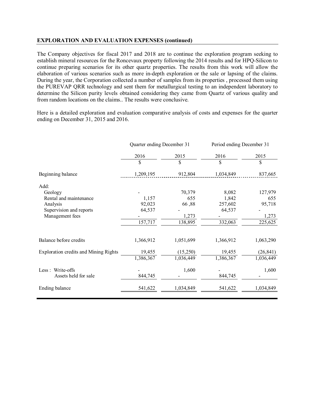#### **EXPLORATION AND EVALUATION EXPENSES (continued)**

The Company objectives for fiscal 2017 and 2018 are to continue the exploration program seeking to establish mineral resources for the Roncevaux property following the 2014 results and for HPQ-Silicon to continue preparing scenarios for its other quartz properties. The results from this work will allow the elaboration of various scenarios such as more in-depth exploration or the sale or lapsing of the claims. During the year, the Corporation collected a number of samples from its properties , processed them using the PUREVAP QRR technology and sent them for metallurgical testing to an independent laboratory to determine the Silicon purity levels obtained considering they came from Quartz of various quality and from random locations on the claims.. The results were conclusive.

Here is a detailed exploration and evaluation comparative analysis of costs and expenses for the quarter ending on December 31, 2015 and 2016.

|                                              | Quarter ending December 31 |           | Period ending December 31 |           |
|----------------------------------------------|----------------------------|-----------|---------------------------|-----------|
|                                              | 2016                       | 2015      | 2016                      | 2015      |
|                                              | \$                         | \$        | \$                        | \$        |
| Beginning balance                            | 1,209,195                  | 912,804   | 1,034,849                 | 837,665   |
| Add:                                         |                            |           |                           |           |
| Geology                                      |                            | 70,379    | 8,082                     | 127,979   |
| Rental and maintenance                       | 1,157                      | 655       | 1,842                     | 655       |
| Analysis                                     | 92,023                     | 66,88     | 257,602                   | 95,718    |
| Supervision and reports                      | 64,537                     |           | 64,537                    |           |
| Management fees                              |                            | 1,273     |                           | 1,273     |
|                                              | 157,717                    | 138,895   | 332,063                   | 225,625   |
|                                              |                            |           |                           |           |
| Balance before credits                       | 1,366,912                  | 1,051,699 | 1,366,912                 | 1,063,290 |
| <b>Exploration credits and Mining Rights</b> | 19,455                     | (15,250)  | 19,455                    | (26, 841) |
|                                              | 1,386,367                  | 1,036,449 | $\overline{1,}386,367$    | 1,036,449 |
| Less: Write-offs                             |                            | 1,600     |                           | 1,600     |
| Assets held for sale                         | 844,745                    |           | 844,745                   |           |
| Ending balance                               | 541,622                    | 1,034,849 | 541,622                   | 1,034,849 |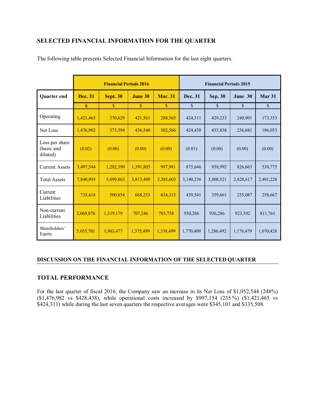# **SELECTED FINANCIAL INFORMATION FOR THE QUARTER**

|                                          | <b>Financial Periods 2016</b> |                 |              | <b>Financial Periods 2015</b> |              |                |              |               |
|------------------------------------------|-------------------------------|-----------------|--------------|-------------------------------|--------------|----------------|--------------|---------------|
| <b>Quarter end</b>                       | <b>Dec. 31</b>                | <b>Sept. 30</b> | June 30      | <b>Mar. 31</b>                | Dec. 31      | <b>Sep. 30</b> | June 30      | Mar 31        |
|                                          | $\mathbf{\$}$                 | $\mathbf{s}$    | $\mathbb{S}$ | $\mathbf S$                   | $\mathbf{s}$ | $\mathbb{S}$   | $\mathbb{S}$ | $\mathcal{S}$ |
| Operating                                | 1,421,465                     | 370,629         | 421,561      | 288,565                       | 424,311      | 429,233        | 240,901      | 173,353       |
| Net Loss                                 | 1,476,982                     | 373,594         | 436,540      | 302,566                       | 424,438      | 435,838        | 256,681      | 186,053       |
| Loss per share<br>(basic and<br>diluted) | (0.02)                        | (0.00)          | (0.00)       | (0.00)                        | (0.01)       | (0.00)         | (0.00)       | (0.00)        |
| <b>Current Assets</b>                    | 3,497,544                     | 1,282,390       | 1,391,805    | 997,981                       | 875,646      | 938,992        | 826,663      | 530,775       |
| <b>Total Assets</b>                      | 7,840,995                     | 5,899,863       | 3,813,490    | 3,385,603                     | 3,140,236    | 3,008,521      | 2,828,617    | 2,491,228     |
| Current<br>Liabilities                   | 735,418                       | 500,854         | 668,253      | 634,315                       | 439,541      | 359,661        | 255,087      | 258,667       |
| Non-current<br>Liabilities               | 2,069,876                     | 1,519,179       | 707,246      | 703,758                       | 930,286      | 926,286        | 923,392      | 811,761       |
| Shareholders'<br>Equity                  | 5,035,701                     | 1,903,477       | 1,375,499    | 1,338,499                     | 1,770,409    | 1,286,492      | 1,178,479    | 1,070,428     |

The following table presents Selected Financial Information for the last eight quarters.

## **DISCUSSION ON THE FINANCIAL INFORMATION OF THE SELECTED QUARTER**

## **TOTAL PERFORMANCE**

For the last quarter of fiscal 2016, the Company saw an increase in its Net Loss of \$1,052,544 (248%) (\$1,476,982 vs \$428,438), while operational costs increased by \$997,154 (235 %) (\$1,421,465 vs \$424,311) while during the last seven quarters the respective averages were \$345,101 and \$335,508.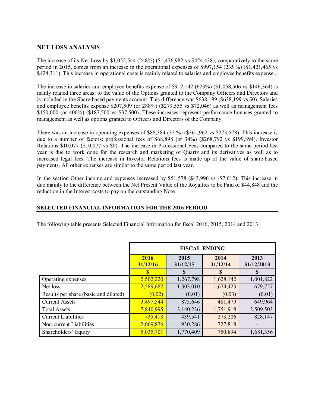### **NET LOSS ANALYSIS**

The increase of its Net Loss by \$1,052,544 (248%) (\$1,476,982 vs \$424,438), comparatively to the same period in 2015, comes from an increase in the operational expenses of \$997,154 (235 %) (\$1,421,465 vs \$424,311). This increase in operational costs is mainly related to salaries and employee benefits expense.

The increase in salaries and employee benefits expense of \$912,142 (623%) (\$1,058,506 vs \$146,364) is manly related three areas: to the value of the Options granted to the Company Officers and Directors and is included in the Share-based payments account. This difference was \$638,199 (\$638,199 vs \$0), Salaries and employee benefits expense \$207,509 (or 288%) (\$279,555 vs \$72,046) as well as management fees \$150,000 (or 400%) (\$187,500 vs \$37,500). These increases represent performance bonuses granted to management as well as options granted to Officers and Directors of the Company.

There was an increase in operating expenses of \$88,384 (32 %) (\$361,962 vs \$273,578). This increase is due to a number of factors: professional fees of \$68,898 (or 34%) (\$268,792 vs \$199,894), Investor Relations \$10,077 (\$10,077 vs \$0). The increase in Professional Fees compared to the same period last year is due to work done for the research and marketing of Quartz and its derivatives as well as to increased legal fees. The increase in Investor Relations fees is made up of the value of share-based payments. All other expenses are similar to the same period last year.

In the section Other income and expenses increased by \$51,578 (\$43,996 vs -\$7,612). This increase in due mainly to the difference between the Net Present Value of the Royalties to be Paid of \$44,848 and the reduction in the Interest costs to pay on the outstanding Note.

#### **SELECTED FINANCIAL INFORMATION FOR THE 2016 PERIOD**

The following table presents Selected Financial Information for fiscal 2016, 2015, 2014 and 2013.

|                                       | <b>FISCAL ENDING</b> |                  |                  |                    |  |
|---------------------------------------|----------------------|------------------|------------------|--------------------|--|
|                                       | 2016<br>31/12/16     | 2015<br>31/12/15 | 2014<br>31/12/14 | 2013<br>31/12/2013 |  |
|                                       | $\mathbf{s}$         | S                |                  | S                  |  |
| Operating expenses                    | 2,502,220            | 1,267,798        | 1,628,142        | 1,001,822          |  |
| Net loss                              | 2,589,682            | 1,303,010        | 1,674,423        | 679,757            |  |
| Results per share (basic and diluted) | (0.02)               | (0.01)           | (0.03)           | (0.01)             |  |
| <b>Current Assets</b>                 | 3,497,544            | 875,646          | 481,479          | 649,964            |  |
| <b>Total Assets</b>                   | 7,840,995            | 3,140,236        | 1,751,918        | 2,509,503          |  |
| <b>Current Liabilities</b>            | 735,418              | 439,541          | 273,206          | 828,147            |  |
| Non-current Liabilities               | 2,069,876            | 930,286          | 727,818          |                    |  |
| Shareholders' Equity                  | 5,035,701            | 1,770,409        | 750,894          | 1,681,356          |  |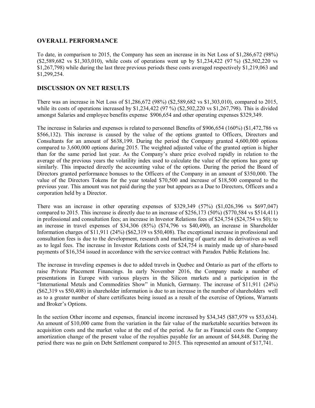## **OVERALL PERFORMANCE**

To date, in comparison to 2015, the Company has seen an increase in its Net Loss of \$1,286,672 (98%) (\$2,589,682 vs \$1,303,010), while costs of operations went up by \$1,234,422 (97 %) (\$2,502,220 vs \$1,267,798) while during the last three previous periods these costs averaged respectively \$1,219,063 and \$1,299,254.

## **DISCUSSION ON NET RESULTS**

There was an increase in Net Loss of \$1,286,672 (98%) (\$2,589,682 vs \$1,303,010), compared to 2015, while its costs of operations increased by \$1,234,422 (97 %) (\$2,502,220 vs \$1,267,798). This is divided amongst Salaries and employee benefits expense \$906,654 and other operating expenses \$329,349.

The increase in Salaries and expenses is related to personnel Benefits of \$906,654 (160%) (\$1,472,786 vs \$566,132). This increase is caused by the value of the options granted to Officers, Directors and Consultants for an amount of \$638,199. During the period the Company granted 4,600,000 options compared to 3,600,000 options during 2015. The weighted adjusted value of the granted option is higher than for the same period last year. As the Company's share price evolved rapidly in relation to the average of the previous years the volatility index used to calculate the value of the options has gone up similarly. This impacted directly the accounting value of the options. During the period the Board of Directors granted performance bonuses to the Officers of the Company in an amount of \$350,000. The value of the Directors Tokens for the year totaled \$70,500 and increase of \$18,500 compared to the previous year. This amount was not paid during the year but appears as a Due to Directors, Officers and a corporation held by a Director.

There was an increase in other operating expenses of \$329,349 (57%) (\$1,026,396 vs \$697,047) compared to 2015. This increase is directly due to an increase of \$256,173 (50%) (\$770,584 vs \$514,411) in professional and consultation fees; an increase in Investor Relations fees of \$24,754 (\$24,754 vs \$0); to an increase in travel expenses of \$34,306 (85%) (\$74,796 vs \$40,490), an increase in Shareholder Information charges of \$11,911 (24%) (\$62,319 vs \$50,408). The exceptional increase in professional and consultation fees is due to the development, research and marketing of quartz and its derivatives as well as to legal fees. The increase in Investor Relations costs of \$24,754 is mainly made up of share-based payments of \$16,354 issued in accordance with the service contract with Paradox Public Relations Inc.

The increase in traveling expenses is due to added travels in Quebec and Ontario as part of the efforts to raise Private Placement Financings. In early November 2016, the Company made a number of presentations in Europe with various players in the Silicon markets and a participation in the "International Metals and Commodities Show" in Munich, Germany. The increase of \$11,911 (24%) (\$62,319 vs \$50,408) in shareholder information is due to an increase in the number of shareholders well as to a greater number of share certificates being issued as a result of the exercise of Options, Warrants and Broker's Options.

In the section Other income and expenses, financial income increased by \$34,345 (\$87,979 vs \$53,634). An amount of \$10,000 came from the variation in the fair value of the marketable securities between its acquisition costs and the market value at the end of the period. As far as Financial costs the Company amortization change of the present value of the royalties payable for an amount of \$44,848. During the period there was no gain on Debt Settlement compared to 2015. This represented an amount of \$17,741.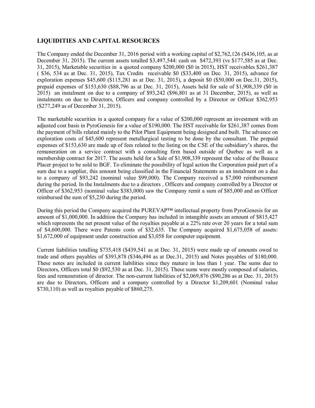# **LIQUIDITIES AND CAPITAL RESOURCES**

The Company ended the December 31, 2016 period with a working capital of \$2,762,126 (\$436,105, as at December 31, 2015). The current assets totalled \$3,497,544: cash on \$472,393 (vs \$177,585 as at Dec. 31, 2015), Marketable securities in a quoted company \$200,000 (\$0 in 2015), HST receivables \$261,387 ( \$36, 534 as at Dec. 31, 2015), Tax Credits receivable \$0 (\$33,400 on Dec. 31, 2015), advance for exploration expenses \$45,600 (\$115,281 as at Dec. 31, 2015), a deposit \$0 (\$50,000 on Dec.31, 2015), prepaid expenses of \$153,630 (\$88,796 as at Dec. 31, 2015), Assets held for sale of \$1,908,339 (\$0 in 2015) an instalment on due to a company of \$93,242 (\$96,801 as at 31 December, 2015), as well as instalments on due to Directors, Officers and company controlled by a Director or Officer \$362,953 (\$277,249 as of December 31, 2015).

The marketable securities in a quoted company for a value of \$200,000 represent an investment with an adjusted cost basis in PyroGenesis for a value of \$190,000. The HST receivable for \$261,387 comes from the payment of bills related mainly to the Pilot Plant Equipment being designed and built. The advance on exploration costs of \$45,600 represent metallurgical testing to be done by the consultant. The prepaid expenses of \$153,630 are made up of fees related to the listing on the CSE of the subsidiary's shares, the remuneration on a service contract with a consulting firm based outside of Quebec as well as a membership contract for 2017. The assets held for a Sale of \$1,908,339 represent the value of the Beauce Placer project to be sold to BGF. To eliminate the possibility of legal action the Corporation paid part of a sum due to a supplier, this amount being classified in the Financial Statements as an instalment on a due to a company of \$93,242 (nominal value \$99,000). The Company received a \$7,000 reimbursement during the period. In the Instalments due to a directors , Officers and company controlled by a Director or Officer of \$362,953 (nominal value \$383,000) saw the Company remit a sum of \$85,000 and an Officer reimbursed the sum of \$5,230 during the period.

During this period the Company acquired the PUREVAP™ intellectual property from PyroGenesis for an amount of \$1,000,000. In addition the Company has included in intangible assets an amount of \$815,427 which represents the net present value of the royalties payable at a 22% rate over 20 years for a total sum of \$4,600,000. There were Patents costs of \$32,635. The Company acquired \$1,675,058 of assets: \$1,672,000 of equipment under construction and \$3,058 for computer equipment.

Current liabilities totalling \$735,418 (\$439,541 as at Dec. 31, 2015) were made up of amounts owed to trade and others payables of \$393,878 (\$346,494 as at Dec.31, 2015) and Notes payables of \$180,000. These notes are included in current liabilities since they mature in less than 1 year. The sums due to Directors, Officers total \$0 (\$92,530 as at Dec. 31, 2015). These sums were mostly composed of salaries, fees and remuneration of director. The non-current liabilities of \$2,069,876 (\$90,286 as at Dec. 31, 2015) are due to Directors, Officers and a company controlled by a Director \$1,209,601 (Nominal value \$730,110) as well as royalties payable of \$860,275.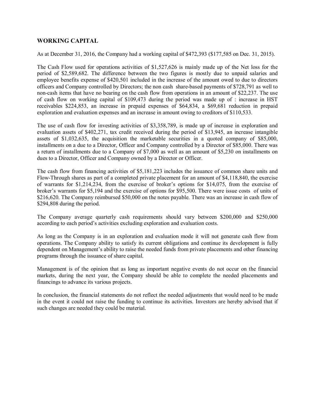## **WORKING CAPITAL**

As at December 31, 2016, the Company had a working capital of \$472,393 (\$177,585 on Dec. 31, 2015).

The Cash Flow used for operations activities of \$1,527,626 is mainly made up of the Net loss for the period of \$2,589,682. The difference between the two figures is mostly due to unpaid salaries and employee benefits expense of \$420,501 included in the increase of the amount owed to due to directors officers and Company controlled by Directors; the non cash share-based payments of \$728,791 as well to non-cash items that have no bearing on the cash flow from operations in an amount of \$22,237. The use of cash flow on working capital of \$109,473 during the period was made up of : increase in HST receivables \$224,853, an increase in prepaid expenses of \$64,834, a \$69,681 reduction in prepaid exploration and evaluation expenses and an increase in amount owing to creditors of \$110,533.

The use of cash flow for investing activities of \$3,358,789, is made up of increase in exploration and evaluation assets of \$402,271, tax credit received during the period of \$13,945, an increase intangible assets of \$1,032,635, the acquisition the marketable securities in a quoted company of \$85,000, installments on a due to a Director, Officer and Company controlled by a Director of \$85,000. There was a return of installments due to a Company of \$7,000 as well as an amount of \$5,230 on installments on dues to a Director, Officer and Company owned by a Director or Officer.

The cash flow from financing activities of \$5,181,223 includes the issuance of common share units and Flow-Through shares as part of a completed private placement for an amount of \$4,118,840, the exercise of warrants for \$1,214,234, from the exercise of broker's options for \$14,075, from the exercise of broker's warrants for \$5,194 and the exercise of options for \$95,500. There were issue costs of units of \$216,620. The Company reimbursed \$50,000 on the notes payable. There was an increase in cash flow of \$294,808 during the period.

The Company average quarterly cash requirements should vary between \$200,000 and \$250,000 according to each period's activities excluding exploration and evaluation costs.

As long as the Company is in an exploration and evaluation mode it will not generate cash flow from operations. The Company ability to satisfy its current obligations and continue its development is fully dependent on Management's ability to raise the needed funds from private placements and other financing programs through the issuance of share capital.

Management is of the opinion that as long as important negative events do not occur on the financial markets, during the next year, the Company should be able to complete the needed placements and financings to advance its various projects.

In conclusion, the financial statements do not reflect the needed adjustments that would need to be made in the event it could not raise the funding to continue its activities. Investors are hereby advised that if such changes are needed they could be material.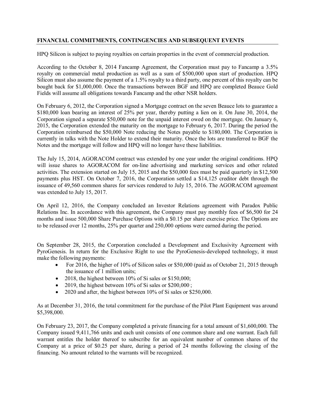## **FINANCIAL COMMITMENTS, CONTINGENCIES AND SUBSEQUENT EVENTS**

HPQ Silicon is subject to paying royalties on certain properties in the event of commercial production.

According to the October 8, 2014 Fancamp Agreement, the Corporation must pay to Fancamp a 3.5% royalty on commercial metal production as well as a sum of \$500,000 upon start of production. HPQ Silicon must also assume the payment of a 1.5% royalty to a third party, one percent of this royalty can be bought back for \$1,000,000. Once the transactions between BGF and HPQ are completed Beauce Gold Fields will assume all obligations towards Fancamp and the other NSR holders.

On February 6, 2012, the Corporation signed a Mortgage contract on the seven Beauce lots to guarantee a \$180,000 loan bearing an interest of 25% per year, thereby putting a lien on it. On June 30, 2014, the Corporation signed a separate \$50,000 note for the unpaid interest owed on the mortgage. On January 6, 2015, the Corporation extended the maturity on the mortgage to February 6, 2017. During the period the Corporation reimbursed the \$50,000 Note reducing the Notes payable to \$180,000. The Corporation is currently in talks with the Note Holder to extend their maturity. Once the lots are transferred to BGF the Notes and the mortgage will follow and HPQ will no longer have these liabilities.

The July 15, 2014, AGORACOM contract was extended by one year under the original conditions. HPQ will issue shares to AGORACOM for on-line advertising and marketing services and other related activities. The extension started on July 15, 2015 and the \$50,000 fees must be paid quarterly in \$12,500 payments plus HST. On October 7, 2016, the Corporation settled a \$14,125 creditor debt through the issuance of 49,560 common shares for services rendered to July 15, 2016. The AGORACOM agreement was extended to July 15, 2017.

On April 12, 2016, the Company concluded an Investor Relations agreement with Paradox Public Relations Inc. In accordance with this agreement, the Company must pay monthly fees of \$6,500 for 24 months and issue 500,000 Share Purchase Options with a \$0.15 per share exercise price. The Options are to be released over 12 months, 25% per quarter and 250,000 options were earned during the period.

On September 28, 2015, the Corporation concluded a Development and Exclusivity Agreement with PyroGenesis. In return for the Exclusive Right to use the PyroGenesis-developed technology, it must make the following payments:

- For 2016, the higher of 10% of Silicon sales or \$50,000 (paid as of October 21, 2015 through the issuance of 1 million units;
- $\bullet$  2018, the highest between 10% of Si sales or \$150,000;
- $\bullet$  2019, the highest between 10% of Si sales or \$200,000;
- 2020 and after, the highest between 10% of Si sales or \$250,000.

As at December 31, 2016, the total commitment for the purchase of the Pilot Plant Equipment was around \$5,398,000.

On February 23, 2017, the Company completed a private financing for a total amount of \$1,600,000. The Company issued 9,411,766 units and each unit consists of one common share and one warrant. Each full warrant entitles the holder thereof to subscribe for an equivalent number of common shares of the Company at a price of \$0.25 per share, during a period of 24 months following the closing of the financing. No amount related to the warrants will be recognized.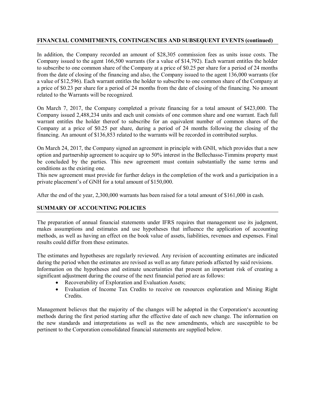## **FINANCIAL COMMITMENTS, CONTINGENCIES AND SUBSEQUENT EVENTS (continued)**

In addition, the Company recorded an amount of \$28,305 commission fees as units issue costs. The Company issued to the agent 166,500 warrants (for a value of \$14,792). Each warrant entitles the holder to subscribe to one common share of the Company at a price of \$0.25 per share for a period of 24 months from the date of closing of the financing and also, the Company issued to the agent 136,000 warrants (for a value of \$12,596). Each warrant entitles the holder to subscribe to one common share of the Company at a price of \$0.23 per share for a period of 24 months from the date of closing of the financing. No amount related to the Warrants will be recognized.

On March 7, 2017, the Company completed a private financing for a total amount of \$423,000. The Company issued 2,488,234 units and each unit consists of one common share and one warrant. Each full warrant entitles the holder thereof to subscribe for an equivalent number of common shares of the Company at a price of \$0.25 per share, during a period of 24 months following the closing of the financing. An amount of \$136,853 related to the warrants will be recorded in contributed surplus.

On March 24, 2017, the Company signed an agreement in principle with GNH, which provides that a new option and partnership agreement to acquire up to 50% interest in the Bellechasse-Timmins property must be concluded by the parties. This new agreement must contain substantially the same terms and conditions as the existing one.

This new agreement must provide for further delays in the completion of the work and a participation in a private placement's of GNH for a total amount of \$150,000.

After the end of the year, 2,300,000 warrants has been raised for a total amount of \$161,000 in cash.

## **SUMMARY OF ACCOUNTING POLICIES**

The preparation of annual financial statements under IFRS requires that management use its judgment, makes assumptions and estimates and use hypotheses that influence the application of accounting methods, as well as having an effect on the book value of assets, liabilities, revenues and expenses. Final results could differ from these estimates.

The estimates and hypotheses are regularly reviewed. Any revision of accounting estimates are indicated during the period when the estimates are revised as well as any future periods affected by said revisions. Information on the hypotheses and estimate uncertainties that present an important risk of creating a significant adjustment during the course of the next financial period are as follows:

- Recoverability of Exploration and Evaluation Assets;
- Evaluation of Income Tax Credits to receive on resources exploration and Mining Right Credits.

Management believes that the majority of the changes will be adopted in the Corporation's accounting methods during the first period starting after the effective date of each new change. The information on the new standards and interpretations as well as the new amendments, which are susceptible to be pertinent to the Corporation consolidated financial statements are supplied below.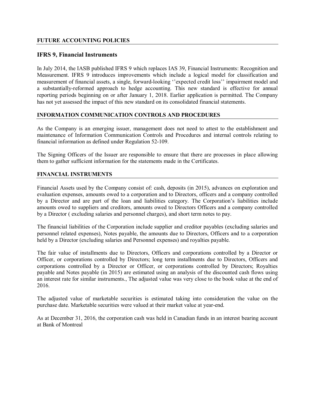#### **FUTURE ACCOUNTING POLICIES**

## **IFRS 9, Financial Instruments**

In July 2014, the IASB published IFRS 9 which replaces IAS 39, Financial Instruments: Recognition and Measurement. IFRS 9 introduces improvements which include a logical model for classification and measurement of financial assets, a single, forward-looking ''expected credit loss'' impairment model and a substantially-reformed approach to hedge accounting. This new standard is effective for annual reporting periods beginning on or after January 1, 2018. Earlier application is permitted. The Company has not yet assessed the impact of this new standard on its consolidated financial statements.

#### **INFORMATION COMMUNICATION CONTROLS AND PROCEDURES**

As the Company is an emerging issuer, management does not need to attest to the establishment and maintenance of Information Communication Controls and Procedures and internal controls relating to financial information as defined under Regulation 52-109.

The Signing Officers of the Issuer are responsible to ensure that there are processes in place allowing them to gather sufficient information for the statements made in the Certificates.

#### **FINANCIAL INSTRUMENTS**

Financial Assets used by the Company consist of: cash, deposits (in 2015), advances on exploration and evaluation expenses, amounts owed to a corporation and to Directors, officers and a company controlled by a Director and are part of the loan and liabilities category. The Corporation's liabilities include amounts owed to suppliers and creditors, amounts owed to Directors Officers and a company controlled by a Director ( excluding salaries and personnel charges), and short term notes to pay.

The financial liabilities of the Corporation include supplier and creditor payables (excluding salaries and personnel related expenses), Notes payable, the amounts due to Directors, Officers and to a corporation held by a Director (excluding salaries and Personnel expenses) and royalties payable.

The fair value of installments due to Directors, Officers and corporations controlled by a Director or Officer, or corporations controlled by Directors; long term installments due to Directors, Officers and corporations controlled by a Director or Officer, or corporations controlled by Directors; Royalties payable and Notes payable (in 2015) are estimated using an analysis of the discounted cash flows using an interest rate for similar instruments., The adjusted value was very close to the book value at the end of 2016.

The adjusted value of marketable securities is estimated taking into consideration the value on the purchase date. Marketable securities were valued at their market value at year-end.

As at December 31, 2016, the corporation cash was held in Canadian funds in an interest bearing account at Bank of Montreal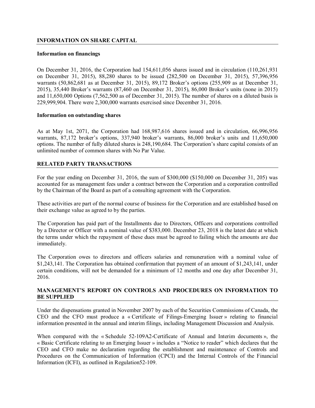#### **INFORMATION ON SHARE CAPITAL**

#### **Information on financings**

On December 31, 2016, the Corporation had 154,611,056 shares issued and in circulation (110,261,931 on December 31, 2015), 88,280 shares to be issued (282,500 on December 31, 2015), 57,396,956 warrants (50,862,681 as at December 31, 2015), 89,172 Broker's options (255,909 as at December 31, 2015), 35,440 Broker's warrants (87,460 on December 31, 2015), 86,000 Broker's units (none in 2015) and 11,650,000 Options (7,562,500 as of December 31, 2015). The number of shares on a diluted basis is 229,999,904. There were 2,300,000 warrants exercised since December 31, 2016.

#### **Information on outstanding shares**

As at May 1st, 2071, the Corporation had 168,987,616 shares issued and in circulation, 66,996,956 warrants, 87,172 broker's options, 337,940 broker's warrants, 86,000 broker's units and 11,650,000 options. The number of fully diluted shares is 248,190,684. The Corporation's share capital consists of an unlimited number of common shares with No Par Value.

#### **RELATED PARTY TRANSACTIONS**

For the year ending on December 31, 2016, the sum of \$300,000 (\$150,000 on December 31, 205) was accounted for as management fees under a contract between the Corporation and a corporation controlled by the Chairman of the Board as part of a consulting agreement with the Corporation.

These activities are part of the normal course of business for the Corporation and are established based on their exchange value as agreed to by the parties.

The Corporation has paid part of the Installments due to Directors, Officers and corporations controlled by a Director or Officer with a nominal value of \$383,000. December 23, 2018 is the latest date at which the terms under which the repayment of these dues must be agreed to failing which the amounts are due immediately.

The Corporation owes to directors and officers salaries and remuneration with a nominal value of \$1,243,141. The Corporation has obtained confirmation that payment of an amount of \$1,243,141, under certain conditions, will not be demanded for a minimum of 12 months and one day after December 31, 2016.

#### **MANAGEMENT'S REPORT ON CONTROLS AND PROCEDURES ON INFORMATION TO BE SUPPLIED**

Under the dispensations granted in November 2007 by each of the Securities Commissions of Canada, the CEO and the CFO must produce a « Certificate of Filings-Emerging Issuer » relating to financial information presented in the annual and interim filings, including Management Discussion and Analysis.

When compared with the « Schedule 52-109A2-Certificate of Annual and Interim documents », the « Basic Certificate relating to an Emerging Issuer » includes a "Notice to reader" which declares that the CEO and CFO make no declaration regarding the establishment and maintenance of Controls and Procedures on the Communication of Information (CPCI) and the Internal Controls of the Financial Information (ICFI), as outlined in Regulation52-109.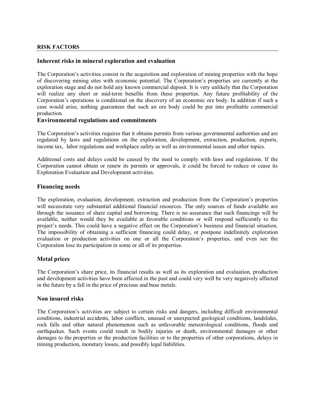## **RISK FACTORS**

## **Inherent risks in mineral exploration and evaluation**

The Corporation's activities consist in the acquisition and exploration of mining properties with the hope of discovering mining sites with economic potential. The Corporation's properties are currently at the exploration stage and do not hold any known commercial deposit. It is very unlikely that the Corporation will realize any short or mid-term benefits from these properties. Any future profitability of the Corporation's operations is conditional on the discovery of an economic ore body. In addition if such a case would arise, nothing guarantees that such an ore body could be put into profitable commercial production.

#### **Environmental regulations and commitments**

The Corporation's activities requires that it obtains permits from various governmental authorities and are regulated by laws and regulations on the exploration, development, extraction, production, exports, income tax, labor regulations and workplace safety as well as environmental issues and other topics.

Additional costs and delays could be caused by the need to comply with laws and regulations. If the Corporation cannot obtain or renew its permits or approvals, it could be forced to reduce or cease its Exploration Evaluation and Development activities.

#### **Financing needs**

The exploration, evaluation, development, extraction and production from the Corporation's properties will necessitate very substantial additional financial resources. The only sources of funds available are through the issuance of share capital and borrowing. There is no assurance that such financings will be available, neither would they be available at favorable conditions or will respond sufficiently to the project's needs. This could have a negative effect on the Corporation's business and financial situation. The impossibility of obtaining a sufficient financing could delay, or postpone indefinitely exploration evaluation or production activities on one or all the Corporation's properties, and even see the Corporation lose its participation in some or all of its properties.

## **Metal prices**

The Corporation's share price, its financial results as well as its exploration and evaluation, production and development activities have been affected in the past and could very well be very negatively affected in the future by a fall in the price of precious and base metals.

#### **Non insured risks**

The Corporation's activities are subject to certain risks and dangers, including difficult environmental conditions, industrial accidents, labor conflicts, unusual or unexpected geological conditions, landslides, rock falls and other natural phenomenon such as unfavorable meteorological conditions, floods and earthquakes. Such events could result in bodily injuries or death, environmental damages or other damages to the properties or the production facilities or to the properties of other corporations, delays in mining production, monetary losses, and possibly legal liabilities.